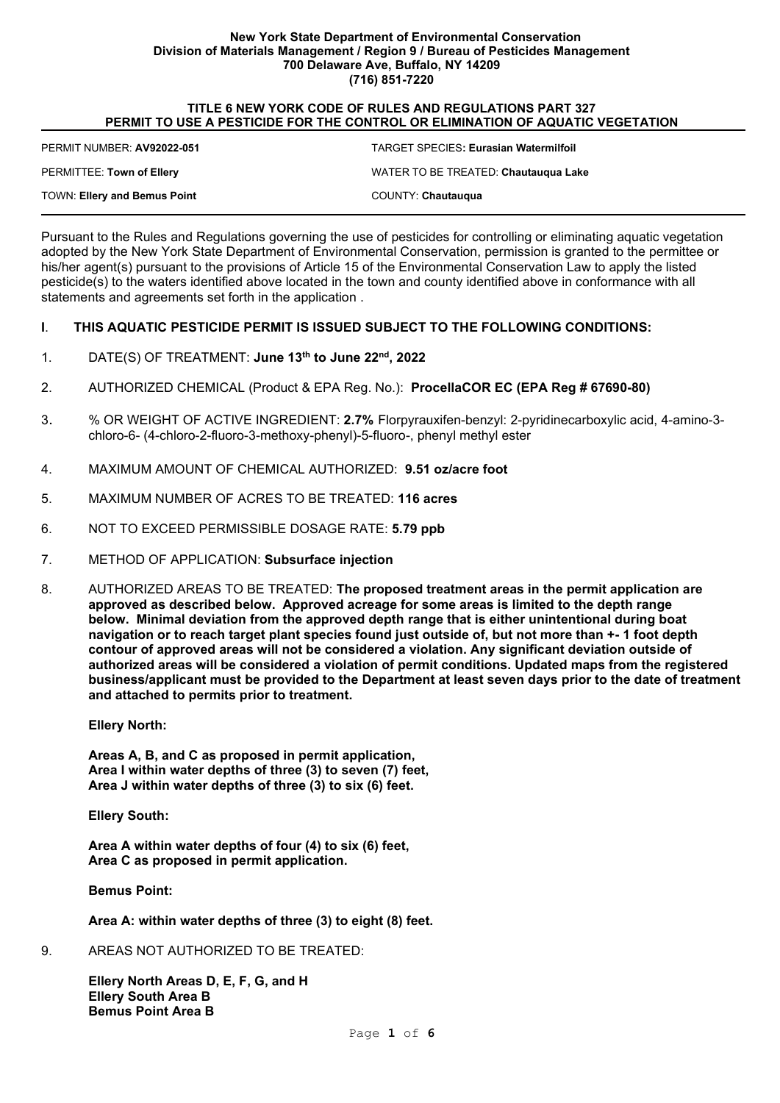#### **New York State Department of Environmental Conservation Division of Materials Management / Region 9 / Bureau of Pesticides Management 700 Delaware Ave, Buffalo, NY 14209 (716) 851-7220**

#### **TITLE 6 NEW YORK CODE OF RULES AND REGULATIONS PART 327 PERMIT TO USE A PESTICIDE FOR THE CONTROL OR ELIMINATION OF AQUATIC VEGETATION**

| PERMIT NUMBER: AV92022-051          | <b>TARGET SPECIES: Eurasian Watermilfoil</b> |
|-------------------------------------|----------------------------------------------|
| PERMITTEE: Town of Ellery           | WATER TO BE TREATED: Chautaugua Lake         |
| <b>TOWN: Ellery and Bemus Point</b> | COUNTY: Chautaugua                           |

Pursuant to the Rules and Regulations governing the use of pesticides for controlling or eliminating aquatic vegetation adopted by the New York State Department of Environmental Conservation, permission is granted to the permittee or his/her agent(s) pursuant to the provisions of Article 15 of the Environmental Conservation Law to apply the listed pesticide(s) to the waters identified above located in the town and county identified above in conformance with all statements and agreements set forth in the application .

#### **I**. **THIS AQUATIC PESTICIDE PERMIT IS ISSUED SUBJECT TO THE FOLLOWING CONDITIONS:**

- 1. DATE(S) OF TREATMENT: **June 13th to June 22nd, 2022**
- 2. AUTHORIZED CHEMICAL (Product & EPA Reg. No.): **ProcellaCOR EC (EPA Reg # 67690-80)**
- 3. % OR WEIGHT OF ACTIVE INGREDIENT: **2.7%** Florpyrauxifen-benzyl: 2-pyridinecarboxylic acid, 4-amino-3 chloro-6- (4-chloro-2-fluoro-3-methoxy-phenyl)-5-fluoro-, phenyl methyl ester
- 4. MAXIMUM AMOUNT OF CHEMICAL AUTHORIZED: **9.51 oz/acre foot**
- 5. MAXIMUM NUMBER OF ACRES TO BE TREATED: **116 acres**
- 6. NOT TO EXCEED PERMISSIBLE DOSAGE RATE: **5.79 ppb**
- 7. METHOD OF APPLICATION: **Subsurface injection**
- 8. AUTHORIZED AREAS TO BE TREATED: **The proposed treatment areas in the permit application are approved as described below. Approved acreage for some areas is limited to the depth range below. Minimal deviation from the approved depth range that is either unintentional during boat navigation or to reach target plant species found just outside of, but not more than +- 1 foot depth contour of approved areas will not be considered a violation. Any significant deviation outside of authorized areas will be considered a violation of permit conditions. Updated maps from the registered business/applicant must be provided to the Department at least seven days prior to the date of treatment and attached to permits prior to treatment.**

**Ellery North:**

**Areas A, B, and C as proposed in permit application, Area I within water depths of three (3) to seven (7) feet, Area J within water depths of three (3) to six (6) feet.**

**Ellery South:**

**Area A within water depths of four (4) to six (6) feet, Area C as proposed in permit application.**

**Bemus Point:**

**Area A: within water depths of three (3) to eight (8) feet.**

9. AREAS NOT AUTHORIZED TO BE TREATED:

**Ellery North Areas D, E, F, G, and H Ellery South Area B Bemus Point Area B**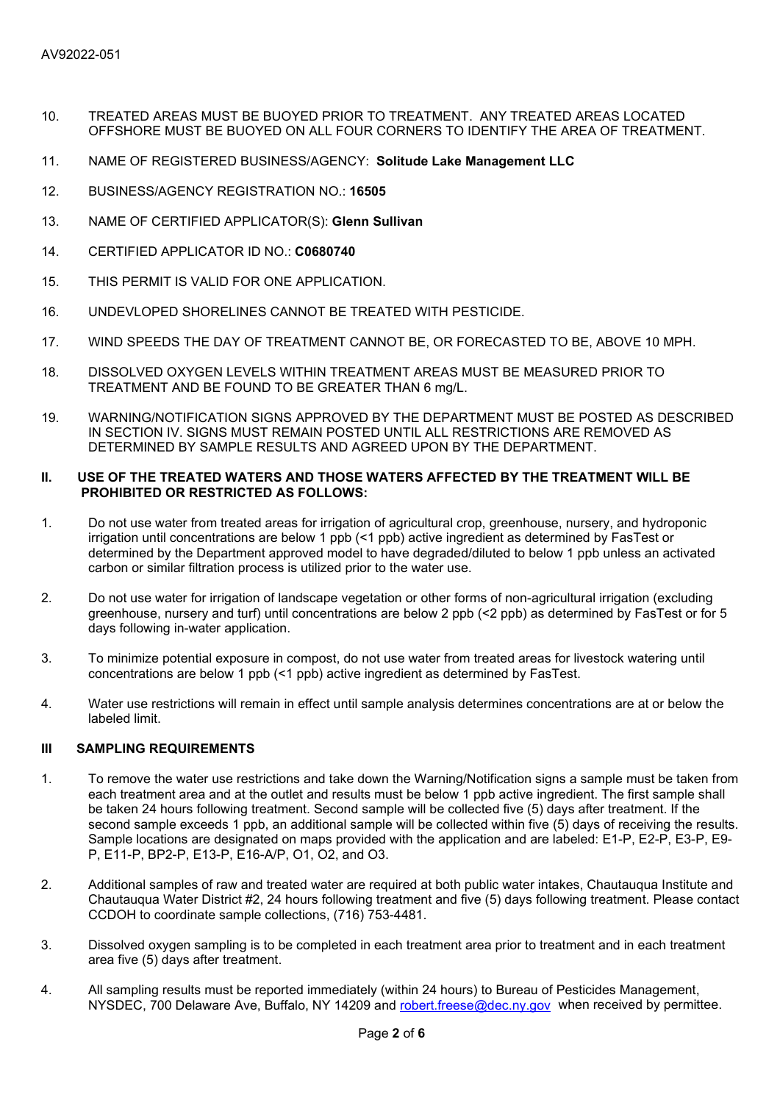- 10. TREATED AREAS MUST BE BUOYED PRIOR TO TREATMENT. ANY TREATED AREAS LOCATED OFFSHORE MUST BE BUOYED ON ALL FOUR CORNERS TO IDENTIFY THE AREA OF TREATMENT.
- 11. NAME OF REGISTERED BUSINESS/AGENCY: **Solitude Lake Management LLC**
- 12. BUSINESS/AGENCY REGISTRATION NO.: **16505**
- 13. NAME OF CERTIFIED APPLICATOR(S): **Glenn Sullivan**
- 14. CERTIFIED APPLICATOR ID NO.: **C0680740**
- 15. THIS PERMIT IS VALID FOR ONE APPLICATION.
- 16. UNDEVLOPED SHORELINES CANNOT BE TREATED WITH PESTICIDE.
- 17. WIND SPEEDS THE DAY OF TREATMENT CANNOT BE, OR FORECASTED TO BE, ABOVE 10 MPH.
- 18. DISSOLVED OXYGEN LEVELS WITHIN TREATMENT AREAS MUST BE MEASURED PRIOR TO TREATMENT AND BE FOUND TO BE GREATER THAN 6 mg/L.
- 19. WARNING/NOTIFICATION SIGNS APPROVED BY THE DEPARTMENT MUST BE POSTED AS DESCRIBED IN SECTION IV. SIGNS MUST REMAIN POSTED UNTIL ALL RESTRICTIONS ARE REMOVED AS DETERMINED BY SAMPLE RESULTS AND AGREED UPON BY THE DEPARTMENT.

### **II. USE OF THE TREATED WATERS AND THOSE WATERS AFFECTED BY THE TREATMENT WILL BE PROHIBITED OR RESTRICTED AS FOLLOWS:**

- 1. Do not use water from treated areas for irrigation of agricultural crop, greenhouse, nursery, and hydroponic irrigation until concentrations are below 1 ppb (<1 ppb) active ingredient as determined by FasTest or determined by the Department approved model to have degraded/diluted to below 1 ppb unless an activated carbon or similar filtration process is utilized prior to the water use.
- 2. Do not use water for irrigation of landscape vegetation or other forms of non-agricultural irrigation (excluding greenhouse, nursery and turf) until concentrations are below 2 ppb (<2 ppb) as determined by FasTest or for 5 days following in-water application.
- 3. To minimize potential exposure in compost, do not use water from treated areas for livestock watering until concentrations are below 1 ppb (<1 ppb) active ingredient as determined by FasTest.
- 4. Water use restrictions will remain in effect until sample analysis determines concentrations are at or below the labeled limit.

### **III SAMPLING REQUIREMENTS**

- 1. To remove the water use restrictions and take down the Warning/Notification signs a sample must be taken from each treatment area and at the outlet and results must be below 1 ppb active ingredient. The first sample shall be taken 24 hours following treatment. Second sample will be collected five (5) days after treatment. If the second sample exceeds 1 ppb, an additional sample will be collected within five (5) days of receiving the results. Sample locations are designated on maps provided with the application and are labeled: E1-P, E2-P, E3-P, E9- P, E11-P, BP2-P, E13-P, E16-A/P, O1, O2, and O3.
- 2. Additional samples of raw and treated water are required at both public water intakes, Chautauqua Institute and Chautauqua Water District #2, 24 hours following treatment and five (5) days following treatment. Please contact CCDOH to coordinate sample collections, (716) 753-4481.
- 3. Dissolved oxygen sampling is to be completed in each treatment area prior to treatment and in each treatment area five (5) days after treatment.
- 4. All sampling results must be reported immediately (within 24 hours) to Bureau of Pesticides Management, NYSDEC, 700 Delaware Ave, Buffalo, NY 14209 and robert freese@dec.ny.gov when received by permittee.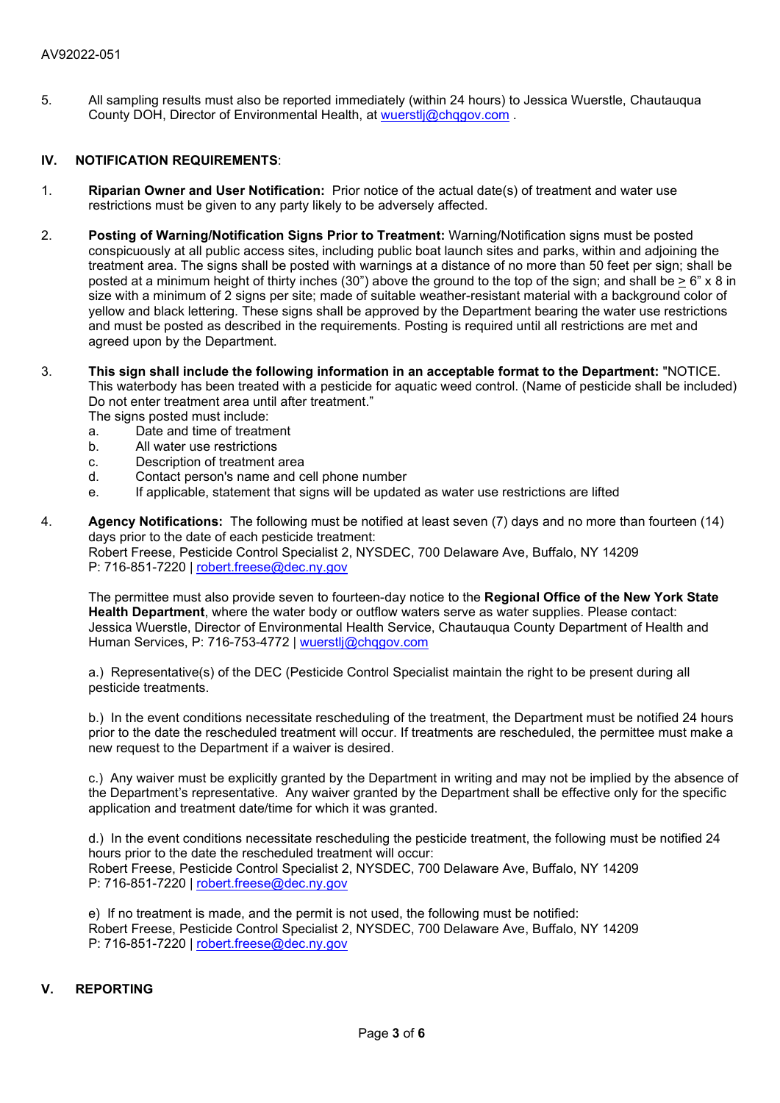5. All sampling results must also be reported immediately (within 24 hours) to Jessica Wuerstle, Chautauqua County DOH, Director of Environmental Health, at wuerstli@chqqov.com.

### **IV. NOTIFICATION REQUIREMENTS**:

- 1. **Riparian Owner and User Notification:** Prior notice of the actual date(s) of treatment and water use restrictions must be given to any party likely to be adversely affected.
- 2. **Posting of Warning/Notification Signs Prior to Treatment:** Warning/Notification signs must be posted conspicuously at all public access sites, including public boat launch sites and parks, within and adjoining the treatment area. The signs shall be posted with warnings at a distance of no more than 50 feet per sign; shall be posted at a minimum height of thirty inches (30") above the ground to the top of the sign; and shall be > 6" x 8 in size with a minimum of 2 signs per site; made of suitable weather-resistant material with a background color of yellow and black lettering. These signs shall be approved by the Department bearing the water use restrictions and must be posted as described in the requirements. Posting is required until all restrictions are met and agreed upon by the Department.
- 3. **This sign shall include the following information in an acceptable format to the Department:** "NOTICE. This waterbody has been treated with a pesticide for aquatic weed control. (Name of pesticide shall be included) Do not enter treatment area until after treatment." The signs posted must include:
	- a. Date and time of treatment<br>b All water use restrictions
	- All water use restrictions
	- c. Description of treatment area
	- d. Contact person's name and cell phone number
	- e. If applicable, statement that signs will be updated as water use restrictions are lifted
- 4. **Agency Notifications:** The following must be notified at least seven (7) days and no more than fourteen (14) days prior to the date of each pesticide treatment: Robert Freese, Pesticide Control Specialist 2, NYSDEC, 700 Delaware Ave, Buffalo, NY 14209 P: 716-851-7220 | robert.freese@dec.ny.gov

The permittee must also provide seven to fourteen-day notice to the **Regional Office of the New York State Health Department**, where the water body or outflow waters serve as water supplies. Please contact: Jessica Wuerstle, Director of Environmental Health Service, Chautauqua County Department of Health and Human Services, P: 716-753-4772 | [wuerstlj@chqgov.com](mailto:wuerstlj@chqgov.com)

a.) Representative(s) of the DEC (Pesticide Control Specialist maintain the right to be present during all pesticide treatments.

b.) In the event conditions necessitate rescheduling of the treatment, the Department must be notified 24 hours prior to the date the rescheduled treatment will occur. If treatments are rescheduled, the permittee must make a new request to the Department if a waiver is desired.

c.) Any waiver must be explicitly granted by the Department in writing and may not be implied by the absence of the Department's representative. Any waiver granted by the Department shall be effective only for the specific application and treatment date/time for which it was granted.

d.) In the event conditions necessitate rescheduling the pesticide treatment, the following must be notified 24 hours prior to the date the rescheduled treatment will occur: Robert Freese, Pesticide Control Specialist 2, NYSDEC, 700 Delaware Ave, Buffalo, NY 14209 P: 716-851-7220 | [robert.freese@dec.ny.gov](mailto:robert.freese@dec.ny.gov)

e) If no treatment is made, and the permit is not used, the following must be notified: Robert Freese, Pesticide Control Specialist 2, NYSDEC, 700 Delaware Ave, Buffalo, NY 14209 P: 716-851-7220 | [robert.freese@dec.ny.gov](mailto:robert.freese@dec.ny.gov)

## **V. REPORTING**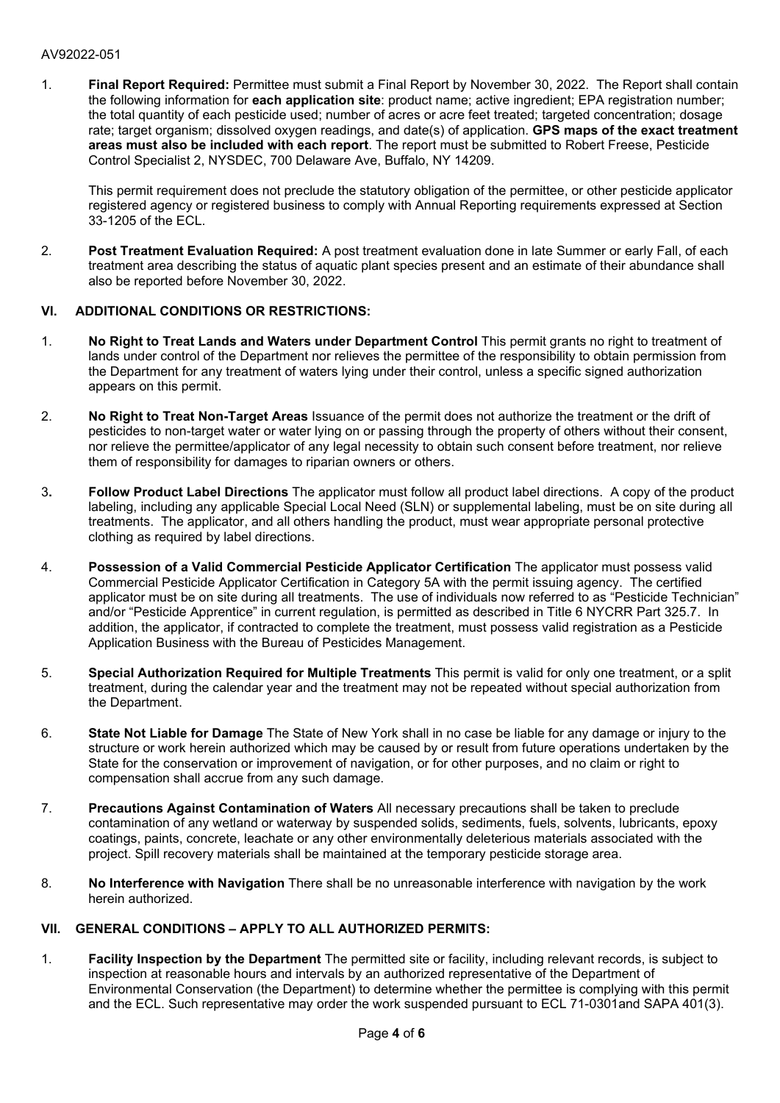# AV92022-051

1. **Final Report Required:** Permittee must submit a Final Report by November 30, 2022. The Report shall contain the following information for **each application site**: product name; active ingredient; EPA registration number; the total quantity of each pesticide used; number of acres or acre feet treated; targeted concentration; dosage rate; target organism; dissolved oxygen readings, and date(s) of application. **GPS maps of the exact treatment areas must also be included with each report**. The report must be submitted to Robert Freese, Pesticide Control Specialist 2, NYSDEC, 700 Delaware Ave, Buffalo, NY 14209.

This permit requirement does not preclude the statutory obligation of the permittee, or other pesticide applicator registered agency or registered business to comply with Annual Reporting requirements expressed at Section 33-1205 of the ECL.

2. **Post Treatment Evaluation Required:** A post treatment evaluation done in late Summer or early Fall, of each treatment area describing the status of aquatic plant species present and an estimate of their abundance shall also be reported before November 30, 2022.

## **VI. ADDITIONAL CONDITIONS OR RESTRICTIONS:**

- 1. **No Right to Treat Lands and Waters under Department Control** This permit grants no right to treatment of lands under control of the Department nor relieves the permittee of the responsibility to obtain permission from the Department for any treatment of waters lying under their control, unless a specific signed authorization appears on this permit.
- 2. **No Right to Treat Non-Target Areas** Issuance of the permit does not authorize the treatment or the drift of pesticides to non-target water or water lying on or passing through the property of others without their consent, nor relieve the permittee/applicator of any legal necessity to obtain such consent before treatment, nor relieve them of responsibility for damages to riparian owners or others.
- 3**. Follow Product Label Directions** The applicator must follow all product label directions. A copy of the product labeling, including any applicable Special Local Need (SLN) or supplemental labeling, must be on site during all treatments. The applicator, and all others handling the product, must wear appropriate personal protective clothing as required by label directions.
- 4. **Possession of a Valid Commercial Pesticide Applicator Certification** The applicator must possess valid Commercial Pesticide Applicator Certification in Category 5A with the permit issuing agency. The certified applicator must be on site during all treatments. The use of individuals now referred to as "Pesticide Technician" and/or "Pesticide Apprentice" in current regulation, is permitted as described in Title 6 NYCRR Part 325.7. In addition, the applicator, if contracted to complete the treatment, must possess valid registration as a Pesticide Application Business with the Bureau of Pesticides Management.
- 5. **Special Authorization Required for Multiple Treatments** This permit is valid for only one treatment, or a split treatment, during the calendar year and the treatment may not be repeated without special authorization from the Department.
- 6. **State Not Liable for Damage** The State of New York shall in no case be liable for any damage or injury to the structure or work herein authorized which may be caused by or result from future operations undertaken by the State for the conservation or improvement of navigation, or for other purposes, and no claim or right to compensation shall accrue from any such damage.
- 7. **Precautions Against Contamination of Waters** All necessary precautions shall be taken to preclude contamination of any wetland or waterway by suspended solids, sediments, fuels, solvents, lubricants, epoxy coatings, paints, concrete, leachate or any other environmentally deleterious materials associated with the project. Spill recovery materials shall be maintained at the temporary pesticide storage area.
- 8. **No Interference with Navigation** There shall be no unreasonable interference with navigation by the work herein authorized.

## **VII. GENERAL CONDITIONS – APPLY TO ALL AUTHORIZED PERMITS:**

1. **Facility Inspection by the Department** The permitted site or facility, including relevant records, is subject to inspection at reasonable hours and intervals by an authorized representative of the Department of Environmental Conservation (the Department) to determine whether the permittee is complying with this permit and the ECL. Such representative may order the work suspended pursuant to ECL 71-0301and SAPA 401(3).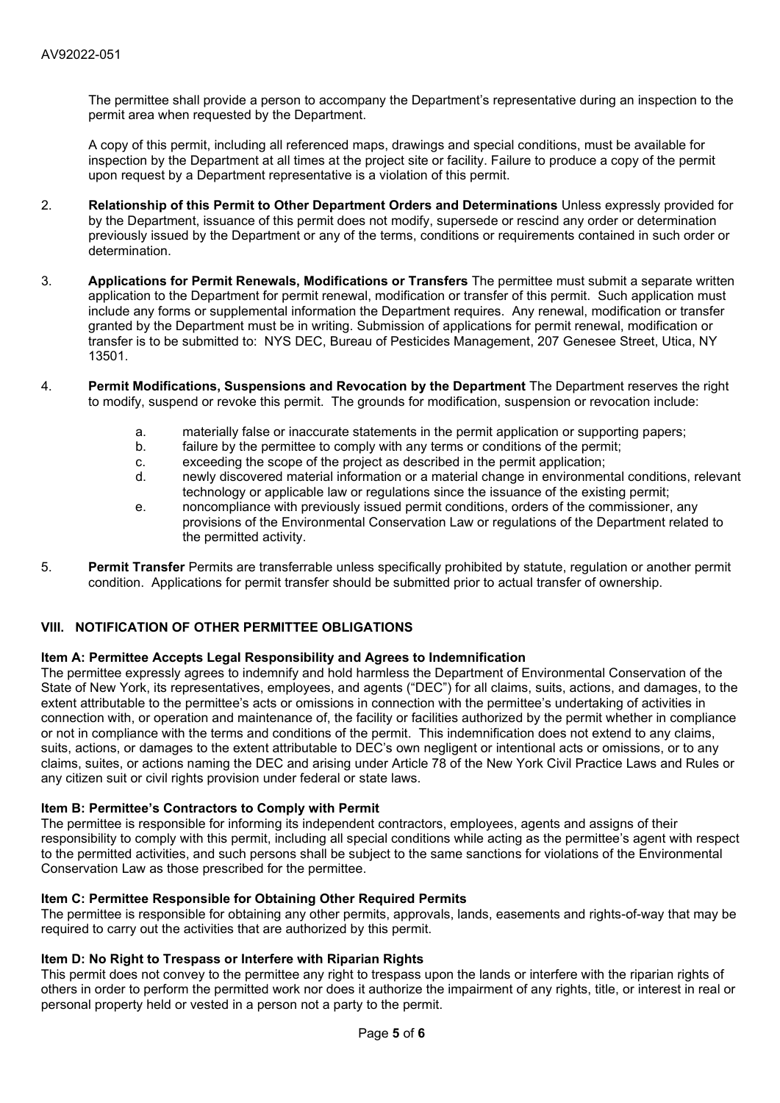The permittee shall provide a person to accompany the Department's representative during an inspection to the permit area when requested by the Department.

A copy of this permit, including all referenced maps, drawings and special conditions, must be available for inspection by the Department at all times at the project site or facility. Failure to produce a copy of the permit upon request by a Department representative is a violation of this permit.

- 2. **Relationship of this Permit to Other Department Orders and Determinations** Unless expressly provided for by the Department, issuance of this permit does not modify, supersede or rescind any order or determination previously issued by the Department or any of the terms, conditions or requirements contained in such order or determination.
- 3. **Applications for Permit Renewals, Modifications or Transfers** The permittee must submit a separate written application to the Department for permit renewal, modification or transfer of this permit. Such application must include any forms or supplemental information the Department requires. Any renewal, modification or transfer granted by the Department must be in writing. Submission of applications for permit renewal, modification or transfer is to be submitted to: NYS DEC, Bureau of Pesticides Management, 207 Genesee Street, Utica, NY 13501.
- 4. **Permit Modifications, Suspensions and Revocation by the Department** The Department reserves the right to modify, suspend or revoke this permit. The grounds for modification, suspension or revocation include:
	- a. materially false or inaccurate statements in the permit application or supporting papers;<br>b. failure by the permittee to comply with any terms or conditions of the permit:
	- failure by the permittee to comply with any terms or conditions of the permit;
	- c. exceeding the scope of the project as described in the permit application;
	- d. newly discovered material information or a material change in environmental conditions, relevant technology or applicable law or regulations since the issuance of the existing permit;
	- e. noncompliance with previously issued permit conditions, orders of the commissioner, any provisions of the Environmental Conservation Law or regulations of the Department related to the permitted activity.
- 5. **Permit Transfer** Permits are transferrable unless specifically prohibited by statute, regulation or another permit condition. Applications for permit transfer should be submitted prior to actual transfer of ownership.

# **VIII. NOTIFICATION OF OTHER PERMITTEE OBLIGATIONS**

#### **Item A: Permittee Accepts Legal Responsibility and Agrees to Indemnification**

The permittee expressly agrees to indemnify and hold harmless the Department of Environmental Conservation of the State of New York, its representatives, employees, and agents ("DEC") for all claims, suits, actions, and damages, to the extent attributable to the permittee's acts or omissions in connection with the permittee's undertaking of activities in connection with, or operation and maintenance of, the facility or facilities authorized by the permit whether in compliance or not in compliance with the terms and conditions of the permit. This indemnification does not extend to any claims, suits, actions, or damages to the extent attributable to DEC's own negligent or intentional acts or omissions, or to any claims, suites, or actions naming the DEC and arising under Article 78 of the New York Civil Practice Laws and Rules or any citizen suit or civil rights provision under federal or state laws.

#### **Item B: Permittee's Contractors to Comply with Permit**

The permittee is responsible for informing its independent contractors, employees, agents and assigns of their responsibility to comply with this permit, including all special conditions while acting as the permittee's agent with respect to the permitted activities, and such persons shall be subject to the same sanctions for violations of the Environmental Conservation Law as those prescribed for the permittee.

### **Item C: Permittee Responsible for Obtaining Other Required Permits**

The permittee is responsible for obtaining any other permits, approvals, lands, easements and rights-of-way that may be required to carry out the activities that are authorized by this permit.

## **Item D: No Right to Trespass or Interfere with Riparian Rights**

This permit does not convey to the permittee any right to trespass upon the lands or interfere with the riparian rights of others in order to perform the permitted work nor does it authorize the impairment of any rights, title, or interest in real or personal property held or vested in a person not a party to the permit.